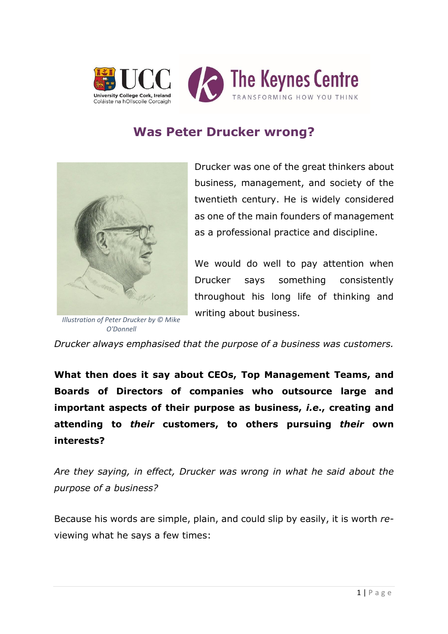

## **Was Peter Drucker wrong?**



*Illustration of Peter Drucker by © Mike O'Donnell*

Drucker was one of the great thinkers about business, management, and society of the twentieth century. He is widely considered as one of the main founders of management as a professional practice and discipline.

We would do well to pay attention when Drucker says something consistently throughout his long life of thinking and writing about business.

*Drucker always emphasised that the purpose of a business was customers.*

**What then does it say about CEOs, Top Management Teams, and Boards of Directors of companies who outsource large and important aspects of their purpose as business,** *i.e***., creating and attending to** *their* **customers, to others pursuing** *their* **own interests?** 

*Are they saying, in effect, Drucker was wrong in what he said about the purpose of a business?* 

Because his words are simple, plain, and could slip by easily, it is worth *re*viewing what he says a few times: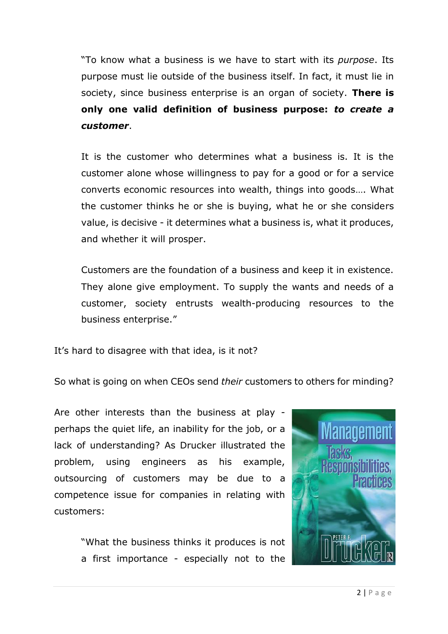"To know what a business is we have to start with its *purpose*. Its purpose must lie outside of the business itself. In fact, it must lie in society, since business enterprise is an organ of society. **There is only one valid definition of business purpose:** *to create a customer*.

It is the customer who determines what a business is. It is the customer alone whose willingness to pay for a good or for a service converts economic resources into wealth, things into goods…. What the customer thinks he or she is buying, what he or she considers value, is decisive - it determines what a business is, what it produces, and whether it will prosper.

Customers are the foundation of a business and keep it in existence. They alone give employment. To supply the wants and needs of a customer, society entrusts wealth-producing resources to the business enterprise."

It's hard to disagree with that idea, is it not?

So what is going on when CEOs send *their* customers to others for minding?

Are other interests than the business at play perhaps the quiet life, an inability for the job, or a lack of understanding? As Drucker illustrated the problem, using engineers as his example, outsourcing of customers may be due to a competence issue for companies in relating with customers:

> "What the business thinks it produces is not a first importance - especially not to the